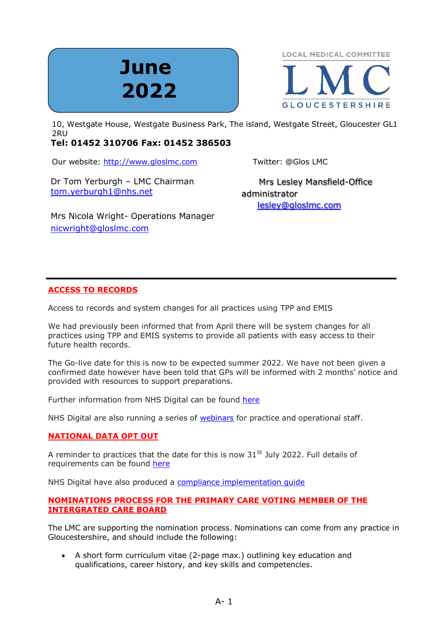# **June 2022**



end to be the R shink the State of the State Business Park, The island, Westgate Street, Gloucester GL1 and Nestgate Street, Gloucester GL1 2RU

# **Tel: 01452 310706 Fax: 01452 386503**

Our website: [http://www.gloslmc.com](http://www.gloslmc.com/) Twitter: @Glos LMC

Dr Tom Yerburgh – LMC Chairman [tom.yerburgh1@nhs.net](mailto:tom.yerburgh1@nhs.net)

 Mrs Lesley Mansfield-Office administrator [lesley@gloslmc.com](mailto:Lesley@gloslmc.com)

Mrs Nicola Wright- Operations Manager [nicwright@gloslmc.com](mailto:nicwright@gloslmc.com)

# **ACCESS TO RECORDS**

Access to records and system changes for all practices using TPP and EMIS

We had previously been informed that from April there will be system changes for all practices using TPP and EMIS systems to provide all patients with easy access to their future health records.

The Go-live date for this is now to be expected summer 2022. We have not been given a confirmed date however have been told that GPs will be informed with 2 months' notice and provided with resources to support preparations.

Further information from NHS Digital can be found [here](https://digital.nhs.uk/services/nhs-app/nhs-app-guidance-for-gp-practices/accelerating-patient-access-to-their-record)

NHS Digital are also running a series of [webinars](https://www.events.england.nhs.uk/getting-ready-for-all-patients-to-have-access-to-their-future-data) for practice and operational staff.

# **NATIONAL DATA OPT OUT**

A reminder to practices that the date for this is now  $31<sup>St</sup>$  July 2022. Full details of requirements can be found [here](https://digital.nhs.uk/services/national-data-opt-out/compliance-with-the-national-data-opt-out)

NHS Digital have also produced a [compliance implementation guide](https://digital.nhs.uk/services/national-data-opt-out/compliance-with-the-national-data-opt-out/compliance-implementation-guide)

# **NOMINATIONS PROCESS FOR THE PRIMARY CARE VOTING MEMBER OF THE INTERGRATED CARE BOARD**

The LMC are supporting the nomination process. Nominations can come from any practice in Gloucestershire, and should include the following:

• A short form curriculum vitae (2-page max.) outlining key education and qualifications, career history, and key skills and competencies.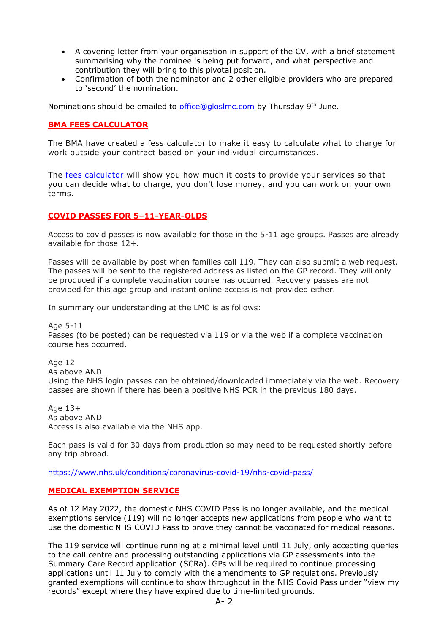- A covering letter from your organisation in support of the CV, with a brief statement summarising why the nominee is being put forward, and what perspective and contribution they will bring to this pivotal position.
- Confirmation of both the nominator and 2 other eligible providers who are prepared to 'second' the nomination.

Nominations should be emailed to *office@gloslmc.com* by Thursday 9<sup>th</sup> June.

## **BMA FEES CALCULATOR**

The BMA have created a fess calculator to make it easy to calculate what to charge for work outside your contract based on your individual circumstances.

The [fees calculator](https://www.bma.org.uk/pay-and-contracts/fees/fees-calculator/bma-fees-calculator) will show you how much it costs to provide your services so that you can decide what to charge, you don't lose money, and you can work on your own terms.

#### **COVID PASSES FOR 5–11-YEAR-OLDS**

Access to covid passes is now available for those in the 5-11 age groups. Passes are already available for those 12+.

Passes will be available by post when families call 119. They can also submit a web request. The passes will be sent to the registered address as listed on the GP record. They will only be produced if a complete vaccination course has occurred. Recovery passes are not provided for this age group and instant online access is not provided either.

In summary our understanding at the LMC is as follows:

Age 5-11 Passes (to be posted) can be requested via 119 or via the web if a complete vaccination course has occurred.

Age 12 As above AND Using the NHS login passes can be obtained/downloaded immediately via the web. Recovery passes are shown if there has been a positive NHS PCR in the previous 180 days.

Age 13+ As above AND Access is also available via the NHS app.

Each pass is valid for 30 days from production so may need to be requested shortly before any trip abroad.

<https://www.nhs.uk/conditions/coronavirus-covid-19/nhs-covid-pass/>

## **MEDICAL EXEMPTION SERVICE**

As of 12 May 2022, the domestic NHS COVID Pass is no longer available, and the medical exemptions service (119) will no longer accepts new applications from people who want to use the domestic NHS COVID Pass to prove they cannot be vaccinated for medical reasons.

The 119 service will continue running at a minimal level until 11 July, only accepting queries to the call centre and processing outstanding applications via GP assessments into the Summary Care Record application (SCRa). GPs will be required to continue processing applications until 11 July to comply with the amendments to GP regulations. Previously granted exemptions will continue to show throughout in the NHS Covid Pass under "view my records" except where they have expired due to time-limited grounds.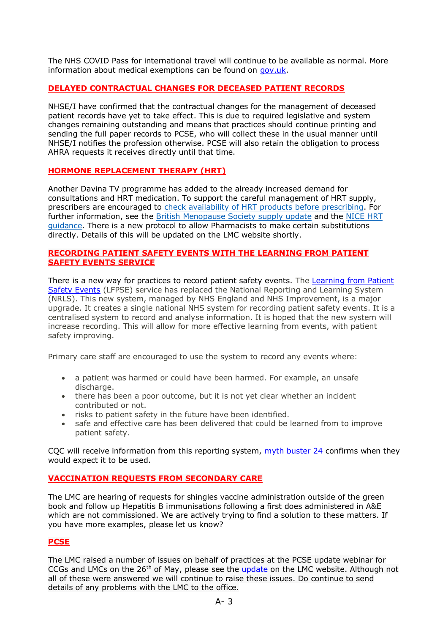The NHS COVID Pass for international travel will continue to be available as normal. More information about medical exemptions can be found on [gov.uk.](https://generalpracticebulletin.cmail20.com/t/d-l-fjhkjjk-jlddotjkh-k)

## **DELAYED CONTRACTUAL CHANGES FOR DECEASED PATIENT RECORDS**

NHSE/I have confirmed that the contractual changes for the management of deceased patient records have yet to take effect. This is due to required legislative and system changes remaining outstanding and means that practices should continue printing and sending the full paper records to PCSE, who will collect these in the usual manner until NHSE/I notifies the profession otherwise. PCSE will also retain the obligation to process AHRA requests it receives directly until that time.

## **HORMONE REPLACEMENT THERAPY (HRT)**

Another Davina TV programme has added to the already increased demand for consultations and HRT medication. To support the careful management of HRT supply, prescribers are encouraged to check availability of HRT products before [prescribing.](https://healthcareleadersupdate.cmail20.com/t/d-l-fjjtiud-irkjkykudl-m/) For further information, see the British [Menopause](https://healthcareleadersupdate.cmail20.com/t/d-l-fjjtiud-irkjkykudl-c/) Society supply update and the [NICE](https://healthcareleadersupdate.cmail20.com/t/d-l-fjjtiud-irkjkykudl-q/) HRT [guidance.](https://healthcareleadersupdate.cmail20.com/t/d-l-fjjtiud-irkjkykudl-q/) There is a new protocol to allow Pharmacists to make certain substitutions directly. Details of this will be updated on the LMC website shortly.

#### **RECORDING PATIENT SAFETY EVENTS WITH THE LEARNING FROM PATIENT SAFETY EVENTS SERVICE**

There is a new way for practices to record patient safety events. The [Learning from](https://www.england.nhs.uk/patient-safety/learn-from-patient-safety-events-service/) Patient [Safety Events](https://www.england.nhs.uk/patient-safety/learn-from-patient-safety-events-service/) (LFPSE) service has replaced the National Reporting and Learning System (NRLS). This new system, managed by NHS England and NHS Improvement, is a major upgrade. It creates a single national NHS system for recording patient safety events. It is a centralised system to record and analyse information. It is hoped that the new system will increase recording. This will allow for more effective learning from events, with patient safety improving.

Primary care staff are encouraged to use the system to record any events where:

- a patient was harmed or could have been harmed. For example, an unsafe discharge.
- there has been a poor outcome, but it is not yet clear whether an incident contributed or not.
- risks to patient safety in the future have been identified.
- safe and effective care has been delivered that could be learned from to improve patient safety.

CQC will receive information from this reporting system, [myth buster 24](https://www.cqc.org.uk/guidance-providers/gps/gp-mythbuster-24-recording-patient-safety-events-learn-patient-safety-events) confirms when they would expect it to be used.

## **VACCINATION REQUESTS FROM SECONDARY CARE**

The LMC are hearing of requests for shingles vaccine administration outside of the green book and follow up Hepatitis B immunisations following a first does administered in A&E which are not commissioned. We are actively trying to find a solution to these matters. If you have more examples, please let us know?

#### **PCSE**

The LMC raised a number of issues on behalf of practices at the PCSE update webinar for CCGs and LMCs on the  $26<sup>th</sup>$  of May, please see the [update](https://www.gloslmc.com/downloads/LMC%20Meetings/PCSE%20Update%20call%2026%205%202022.pdf) on the LMC website. Although not all of these were answered we will continue to raise these issues. Do continue to send details of any problems with the LMC to the office.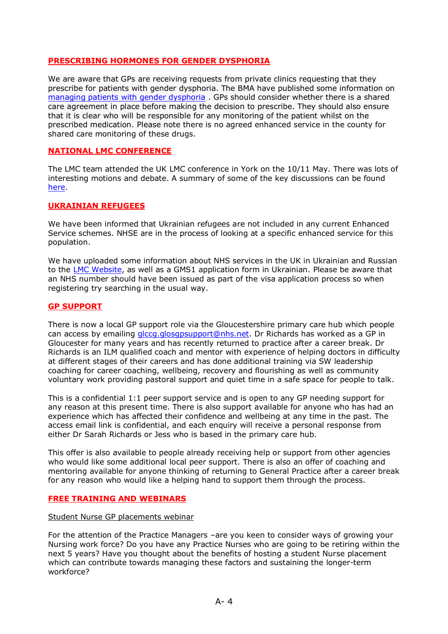#### **PRESCRIBING HORMONES FOR GENDER DYSPHORIA**

We are aware that GPs are receiving requests from private clinics requesting that they prescribe for patients with gender dysphoria. The BMA have published some information on [managing patients with gender dysphoria](https://www.bma.org.uk/advice-and-support/gp-practices/gp-service-provision/managing-patients-with-gender-dysphoria) . GPs should consider whether there is a shared care agreement in place before making the decision to prescribe. They should also ensure that it is clear who will be responsible for any monitoring of the patient whilst on the prescribed medication. Please note there is no agreed enhanced service in the county for shared care monitoring of these drugs.

#### **NATIONAL LMC CONFERENCE**

The LMC team attended the UK LMC conference in York on the 10/11 May. There was lots of interesting motions and debate. A summary of some of the key discussions can be found [here.](https://www.gloslmc.com/library1.asp?id=263)

#### **UKRAINIAN REFUGEES**

We have been informed that Ukrainian refugees are not included in any current Enhanced Service schemes. NHSE are in the process of looking at a specific enhanced service for this population.

We have uploaded some information about NHS services in the UK in Ukrainian and Russian to the [LMC Website,](https://www.gloslmc.com/library1.asp?cid=90) as well as a GMS1 application form in Ukrainian. Please be aware that an NHS number should have been issued as part of the visa application process so when registering try searching in the usual way.

#### **GP SUPPORT**

There is now a local GP support role via the Gloucestershire primary care hub which people can access by emailing [glccg.glosgpsupport@nhs.net.](mailto:glccg.glosgpsupport@nhs.net) Dr Richards has worked as a GP in Gloucester for many years and has recently returned to practice after a career break. Dr Richards is an ILM qualified coach and mentor with experience of helping doctors in difficulty at different stages of their careers and has done additional training via SW leadership coaching for career coaching, wellbeing, recovery and flourishing as well as community voluntary work providing pastoral support and quiet time in a safe space for people to talk.

This is a confidential 1:1 peer support service and is open to any GP needing support for any reason at this present time. There is also support available for anyone who has had an experience which has affected their confidence and wellbeing at any time in the past. The access email link is confidential, and each enquiry will receive a personal response from either Dr Sarah Richards or Jess who is based in the primary care hub.

This offer is also available to people already receiving help or support from other agencies who would like some additional local peer support. There is also an offer of coaching and mentoring available for anyone thinking of returning to General Practice after a career break for any reason who would like a helping hand to support them through the process.

#### **FREE TRAINING AND WEBINARS**

Student Nurse GP placements webinar

For the attention of the Practice Managers –are you keen to consider ways of growing your Nursing work force? Do you have any Practice Nurses who are going to be retiring within the next 5 years? Have you thought about the benefits of hosting a student Nurse placement which can contribute towards managing these factors and sustaining the longer-term workforce?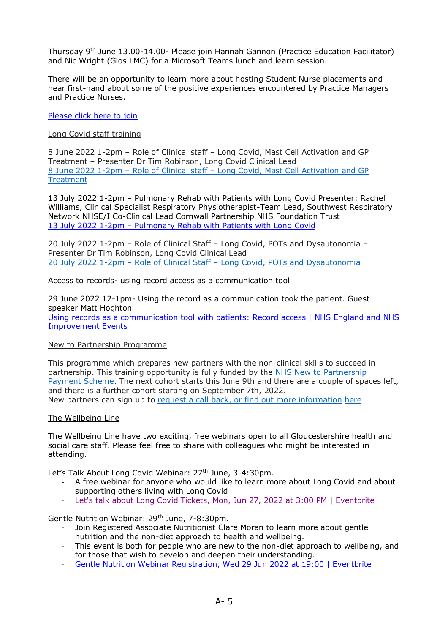Thursday 9<sup>th</sup> June 13.00-14.00- Please join Hannah Gannon (Practice Education Facilitator) and Nic Wright (Glos LMC) for a Microsoft Teams lunch and learn session.

There will be an opportunity to learn more about hosting Student Nurse placements and hear first-hand about some of the positive experiences encountered by Practice Managers and Practice Nurses.

#### [Please click here to join](https://teams.microsoft.com/l/meetup-join/19%3ameeting_YTUwNzE1YmItOWFhZi00OThhLWE1NGItN2NlOGE5YTRiYWY1%40thread.v2/0?context=%7b%22Tid%22%3a%2237c354b2-85b0-47f5-b222-07b48d774ee3%22%2c%22Oid%22%3a%2282b8d5f6-089c-4133-9e6c-dbbe439c46fa%22%7d)

#### Long Covid staff training

8 June 2022 1-2pm – Role of Clinical staff – Long Covid, Mast Cell Activation and GP Treatment – Presenter Dr Tim Robinson, Long Covid Clinical Lead 8 June 2022 1-2pm – Role of Clinical staff – Long Covid, Mast Cell [Activation](https://forms.office.com/r/M3iTeX08dP) and GP **[Treatment](https://forms.office.com/r/M3iTeX08dP)** 

13 July 2022 1-2pm – Pulmonary Rehab with Patients with Long Covid Presenter: Rachel Williams, Clinical Specialist Respiratory Physiotherapist-Team Lead, Southwest Respiratory Network NHSE/I Co-Clinical Lead Cornwall Partnership NHS Foundation Trust 13 July 2022 1-2pm – Pulmonary [Rehab with Patients with Long Covid](https://forms.office.com/r/15YqYB8P12)

20 July 2022 1-2pm – Role of Clinical Staff – Long Covid, POTs and Dysautonomia – Presenter Dr Tim Robinson, Long Covid Clinical Lead 20 July 2022 1-2pm – Role of Clinical Staff – Long Covid, POTs and [Dysautonomia](https://forms.office.com/r/g32iYaxfn9)

#### Access to records- using record access as a communication tool

29 June 2022 12-1pm- Using the record as a communication took the patient. Guest speaker Matt Hoghton [Using records as a communication tool with patients: Record access | NHS England and NHS](https://www.events.england.nhs.uk/events/using-record-as-a-communication-tools-with-patient)  [Improvement Events](https://www.events.england.nhs.uk/events/using-record-as-a-communication-tools-with-patient)

#### New to Partnership Programme

This programme which prepares new partners with the non-clinical skills to succeed in partnership. This training opportunity is fully funded by the NHS New to [Partnership](https://www.england.nhs.uk/gp/the-best-place-to-work/new-to-partnership-payment-scheme/) [Payment](https://www.england.nhs.uk/gp/the-best-place-to-work/new-to-partnership-payment-scheme/) Scheme. The next cohort starts this June 9th and there are a couple of spaces left, and there is a further cohort starting on September 7th, 2022. New partners can sign up to request a call back, or find out more [information](https://xytal.hubspotpagebuilder.com/xytal-new-to-partnership-programme-sign-up-0) [here](https://xytal.hubspotpagebuilder.com/xytal-new-to-partnership-programme-sign-up-0)

#### The Wellbeing Line

The Wellbeing Line have two exciting, free webinars open to all Gloucestershire health and social care staff. Please feel free to share with colleagues who might be interested in attending.

Let's Talk About Long Covid Webinar: 27<sup>th</sup> June, 3-4:30pm.

- A free webinar for anyone who would like to learn more about Long Covid and about supporting others living with Long Covid
- [Let's talk about Long Covid Tickets, Mon, Jun 27, 2022 at 3:00 PM | Eventbrite](https://www.eventbrite.co.uk/e/lets-talk-about-long-covid-tickets-337167415817)

Gentle Nutrition Webinar: 29<sup>th</sup> June, 7-8:30pm.

- Join Registered Associate Nutritionist Clare Moran to learn more about gentle nutrition and the non-diet approach to health and wellbeing.
- This event is both for people who are new to the non-diet approach to wellbeing, and for those that wish to develop and deepen their understanding.
- [Gentle Nutrition Webinar Registration, Wed 29 Jun 2022 at 19:00 | Eventbrite](https://www.eventbrite.co.uk/e/gentle-nutrition-webinar-registration-338013516527)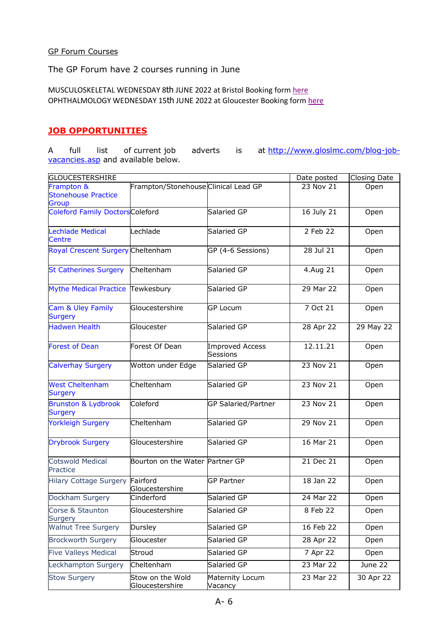#### GP Forum Courses

The GP Forum have 2 courses running in June

MUSCULOSKELETAL WEDNESDAY 8th JUNE 2022 at Bristol Booking form [here](https://www.gloslmc.com/downloads/Outgside%20Course%20Adverts/Bristol%20-%20June%202022.pdf) OPHTHALMOLOGY WEDNESDAY 15th JUNE 2022 at Gloucester Booking for[m here](https://www.gloslmc.com/downloads/Outgside%20Course%20Adverts/Gloucester%20-%20June%202022%20(002).pdf)

# **JOB OPPORTUNITIES**

A full list of current job adverts is at [http://www.gloslmc.com/blog-job](http://www.gloslmc.com/blog-job-vacancies.asp)[vacancies.asp](http://www.gloslmc.com/blog-job-vacancies.asp) and available below.

| GLOUCESTERSHIRE                                   |                                      |                                    | Date posted            | <b>Closing Date</b> |
|---------------------------------------------------|--------------------------------------|------------------------------------|------------------------|---------------------|
| Frampton &<br><b>Stonehouse Practice</b><br>Group | Frampton/Stonehouse Clinical Lead GP |                                    | 23 Nov 21              | Open                |
| <b>Coleford Family DoctorsColeford</b>            |                                      | Salaried GP                        | 16 July 21             | Open                |
| <b>Lechlade Medical</b><br><b>Centre</b>          | Lechlade                             | Salaried GP                        | 2 Feb 22               | Open                |
| Royal Crescent Surgery Cheltenham                 |                                      | GP (4-6 Sessions)                  | 28 Jul 21              | Open                |
| <b>St Catherines Surgery</b>                      | Cheltenham                           | Salaried GP                        | 4.Aug 21               | Open                |
| Mythe Medical Practice Tewkesbury                 |                                      | Salaried GP                        | 29 Mar 22              | Open                |
| Cam & Uley Family<br><b>Surgery</b>               | Gloucestershire                      | <b>GP Locum</b>                    | 7 Oct 21               | Open                |
| <b>Hadwen Health</b>                              | Gloucester                           | Salaried GP                        | 28 Apr 22              | 29 May 22           |
| <b>Forest of Dean</b>                             | Forest Of Dean                       | <b>Improved Access</b><br>Sessions | 12.11.21               | Open                |
| <b>Calverhay Surgery</b>                          | Wotton under Edge                    | Salaried GP                        | 23 Nov 21              | Open                |
| <b>West Cheltenham</b><br>Surgery                 | Cheltenham                           | Salaried GP                        | 23 Nov 21              | Open                |
| <b>Brunston &amp; Lydbrook</b><br><b>Surgery</b>  | Coleford                             | <b>GP Salaried/Partner</b>         | 23 Nov 21              | Open                |
| <b>Yorkleigh Surgery</b>                          | Cheltenham                           | Salaried GP                        | 29 Nov 21              | Open                |
| <b>Drybrook Surgery</b>                           | Gloucestershire                      | Salaried GP                        | 16 Mar 21              | Open                |
| <b>Cotswold Medical</b><br>Practice               | Bourton on the Water Partner GP      |                                    | $\overline{21}$ Dec 21 | Open                |
| <b>Hilary Cottage Surgery</b>                     | Fairford<br>Gloucestershire          | <b>GP Partner</b>                  | 18 Jan 22              | Open                |
| Dockham Surgery                                   | Cinderford                           | Salaried GP                        | 24 Mar 22              | Open                |
| Corse & Staunton<br>Surgery                       | Gloucestershire                      | Salaried GP                        | 8 Feb 22               | Open                |
| <b>Walnut Tree Surgery</b>                        | Dursley                              | Salaried GP                        | 16 Feb 22              | Open                |
| <b>Brockworth Surgery</b>                         | Gloucester                           | Salaried GP                        | 28 Apr 22              | Open                |
| <b>Five Valleys Medical</b>                       | Stroud                               | Salaried GP                        | 7 Apr 22               | Open                |
| Leckhampton Surgery                               | Cheltenham                           | Salaried GP                        | 23 Mar 22              | June 22             |
| <b>Stow Surgery</b>                               | Stow on the Wold<br>Gloucestershire  | Maternity Locum<br>Vacancy         | 23 Mar 22              | 30 Apr 22           |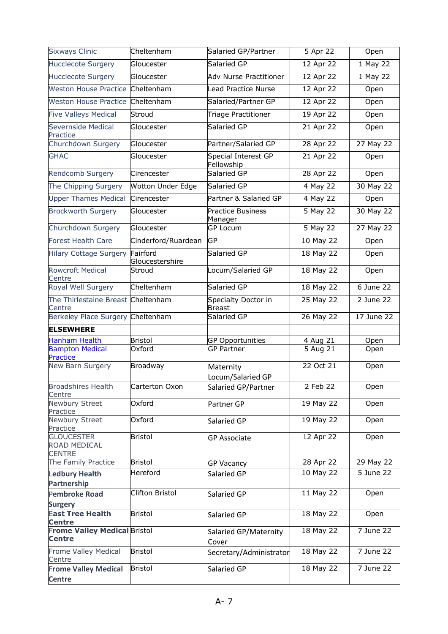| <b>Sixways Clinic</b>                                                 | Cheltenham                  | Salaried GP/Partner                  | 5 Apr 22  | Open                    |
|-----------------------------------------------------------------------|-----------------------------|--------------------------------------|-----------|-------------------------|
| <b>Hucclecote Surgery</b>                                             | Gloucester                  | Salaried GP                          | 12 Apr 22 | 1 May 22                |
| <b>Hucclecote Surgery</b>                                             | Gloucester                  | <b>Adv Nurse Practitioner</b>        | 12 Apr 22 | 1 May 22                |
| <b>Weston House Practice</b>                                          | Cheltenham                  | <b>Lead Practice Nurse</b>           | 12 Apr 22 | Open                    |
| Weston House Practice Cheltenham                                      |                             | Salaried/Partner GP                  | 12 Apr 22 | Open                    |
| <b>Five Valleys Medical</b>                                           | Stroud                      | Triage Practitioner                  | 19 Apr 22 | Open                    |
| Severnside Medical                                                    | Gloucester                  | Salaried GP                          | 21 Apr 22 | Open                    |
| Practice<br>Churchdown Surgery                                        | Gloucester                  | Partner/Salaried GP                  | 28 Apr 22 | 27 May 22               |
| <b>GHAC</b>                                                           |                             |                                      |           |                         |
|                                                                       | Gloucester                  | Special Interest GP<br>Fellowship    | 21 Apr 22 | Open                    |
| <b>Rendcomb Surgery</b>                                               | Cirencester                 | Salaried GP                          | 28 Apr 22 | Open                    |
| The Chipping Surgery                                                  | Wotton Under Edge           | Salaried GP                          | 4 May 22  | 30 May 22               |
| <b>Upper Thames Medical</b>                                           | Cirencester                 | Partner & Salaried GP                | 4 May 22  | Open                    |
| <b>Brockworth Surgery</b>                                             | Gloucester                  | <b>Practice Business</b><br>Manager  | 5 May 22  | 30 May 22               |
| Churchdown Surgery                                                    | Gloucester                  | GP Locum                             | 5 May 22  | 27 May 22               |
| <b>Forest Health Care</b>                                             | Cinderford/Ruardean         | GP                                   | 10 May 22 | Open                    |
| <b>Hilary Cottage Surgery</b>                                         | Fairford<br>Gloucestershire | Salaried GP                          | 18 May 22 | Open                    |
| <b>Rowcroft Medical</b><br>Centre                                     | Stroud                      | Locum/Salaried GP                    | 18 May 22 | Open                    |
| Royal Well Surgery                                                    | Cheltenham                  | Salaried GP                          | 18 May 22 | 6 June 22               |
| The Thirlestaine Breast Cheltenham<br>Centre                          |                             | Specialty Doctor in<br><b>Breast</b> | 25 May 22 | 2 June 22               |
| Berkeley Place Surgery Cheltenham                                     |                             | Salaried GP                          | 26 May 22 | $\overline{17}$ June 22 |
| <b>ELSEWHERE</b>                                                      |                             |                                      |           |                         |
| <b>Hanham Health</b>                                                  | <b>Bristol</b>              | <b>GP Opportunities</b>              | 4 Aug 21  | Open                    |
| <b>Bampton Medical</b><br>Practice                                    | Oxford                      | <b>GP Partner</b>                    | 5 Aug 21  | Open                    |
| New Barn Surgery                                                      | <b>Broadway</b>             | Maternity<br>Locum/Salaried GP       | 22 Oct 21 | Open                    |
| <b>Broadshires Health</b><br>Centre                                   | Carterton Oxon              | Salaried GP/Partner                  | 2 Feb 22  | Open                    |
| <b>Newbury Street</b><br>Practice                                     | Oxford                      | Partner GP                           | 19 May 22 | Open                    |
| Newbury Street<br>Practice                                            | Oxford                      | Salaried GP                          | 19 May 22 | Open                    |
| <b>GLOUCESTER</b><br><b>ROAD MEDICAL</b><br><b>CENTRE</b>             | <b>Bristol</b>              | <b>GP Associate</b>                  | 12 Apr 22 | Open                    |
| The Family Practice                                                   | <b>Bristol</b>              | <b>GP Vacancy</b>                    | 28 Apr 22 | 29 May 22               |
| <b>Ledbury Health</b><br><b>Partnership</b>                           | Hereford                    | Salaried GP                          | 10 May 22 | 5 June 22               |
| <b>Pembroke Road</b>                                                  | Clifton Bristol             | Salaried GP                          | 11 May 22 | Open                    |
| <b>Surgery</b><br><b>East Tree Health</b>                             | <b>Bristol</b>              | Salaried GP                          | 18 May 22 | Open                    |
| <b>Centre</b><br><b>Frome Valley Medical Bristol</b><br><b>Centre</b> |                             | Salaried GP/Maternity                | 18 May 22 | 7 June 22               |
| Frome Valley Medical<br>Centre                                        | Bristol                     | Cover<br>Secretary/Administrator     | 18 May 22 | 7 June 22               |
| <b>Frome Valley Medical</b><br><b>Centre</b>                          | <b>Bristol</b>              | Salaried GP                          | 18 May 22 | 7 June 22               |
|                                                                       |                             |                                      |           |                         |